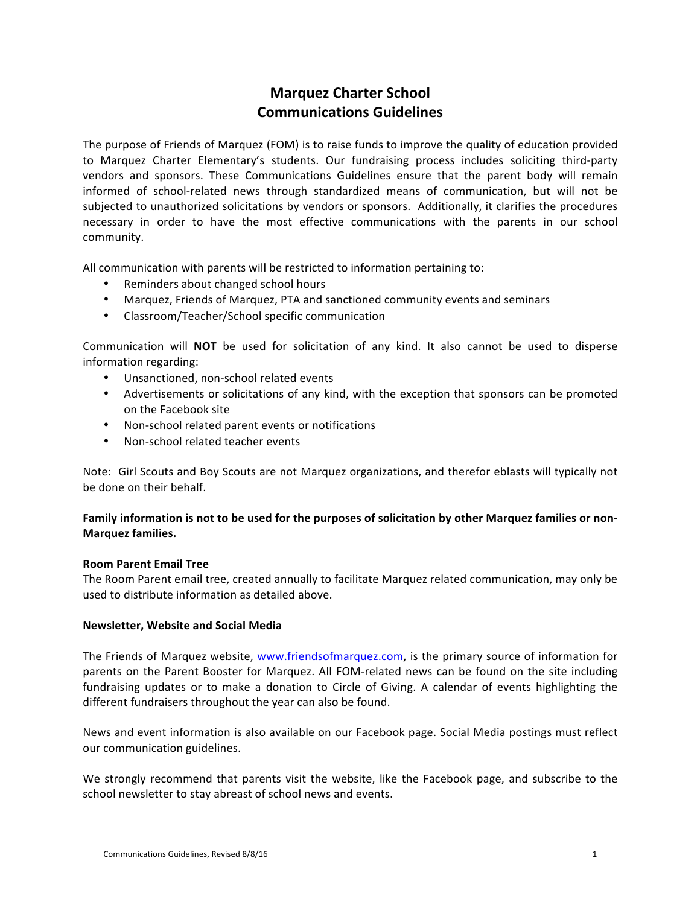# **Marquez Charter School Communications Guidelines**

The purpose of Friends of Marquez (FOM) is to raise funds to improve the quality of education provided to Marquez Charter Elementary's students. Our fundraising process includes soliciting third-party vendors and sponsors. These Communications Guidelines ensure that the parent body will remain informed of school-related news through standardized means of communication, but will not be subjected to unauthorized solicitations by vendors or sponsors. Additionally, it clarifies the procedures necessary in order to have the most effective communications with the parents in our school community. 

All communication with parents will be restricted to information pertaining to:

- Reminders about changed school hours
- Marquez, Friends of Marquez, PTA and sanctioned community events and seminars
- Classroom/Teacher/School specific communication

Communication will **NOT** be used for solicitation of any kind. It also cannot be used to disperse information regarding:

- Unsanctioned, non-school related events
- Advertisements or solicitations of any kind, with the exception that sponsors can be promoted on the Facebook site
- Non-school related parent events or notifications
- Non-school related teacher events

Note: Girl Scouts and Boy Scouts are not Marquez organizations, and therefor eblasts will typically not be done on their behalf.

# **Family information is not to be used for the purposes of solicitation by other Marquez families or non-Marquez families.**

#### **Room Parent Email Tree**

The Room Parent email tree, created annually to facilitate Marquez related communication, may only be used to distribute information as detailed above.

#### **Newsletter, Website and Social Media**

The Friends of Marquez website, www.friendsofmarquez.com, is the primary source of information for parents on the Parent Booster for Marquez. All FOM-related news can be found on the site including fundraising updates or to make a donation to Circle of Giving. A calendar of events highlighting the different fundraisers throughout the year can also be found.

News and event information is also available on our Facebook page. Social Media postings must reflect our communication guidelines.

We strongly recommend that parents visit the website, like the Facebook page, and subscribe to the school newsletter to stay abreast of school news and events.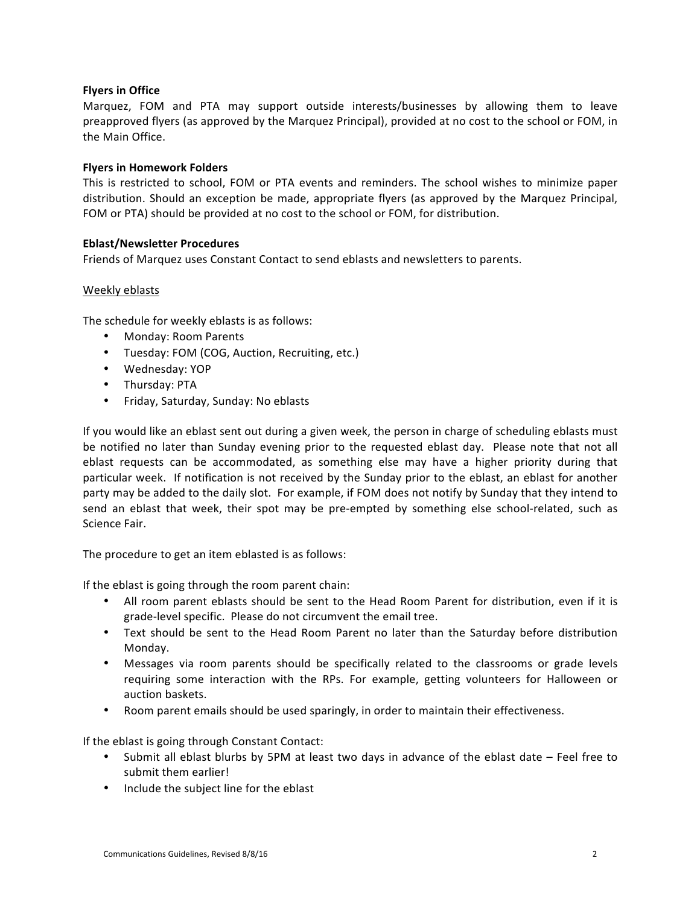# **Flyers in Office**

Marquez, FOM and PTA may support outside interests/businesses by allowing them to leave preapproved flyers (as approved by the Marquez Principal), provided at no cost to the school or FOM, in the Main Office.

## **Flyers in Homework Folders**

This is restricted to school, FOM or PTA events and reminders. The school wishes to minimize paper distribution. Should an exception be made, appropriate flyers (as approved by the Marquez Principal, FOM or PTA) should be provided at no cost to the school or FOM, for distribution.

#### **Eblast/Newsletter Procedures**

Friends of Marquez uses Constant Contact to send eblasts and newsletters to parents.

## Weekly eblasts

The schedule for weekly eblasts is as follows:

- Monday: Room Parents
- Tuesday: FOM (COG, Auction, Recruiting, etc.)
- Wednesday: YOP
- Thursday: PTA
- Friday, Saturday, Sunday: No eblasts

If you would like an eblast sent out during a given week, the person in charge of scheduling eblasts must be notified no later than Sunday evening prior to the requested eblast day. Please note that not all eblast requests can be accommodated, as something else may have a higher priority during that particular week. If notification is not received by the Sunday prior to the eblast, an eblast for another party may be added to the daily slot. For example, if FOM does not notify by Sunday that they intend to send an eblast that week, their spot may be pre-empted by something else school-related, such as Science Fair.

The procedure to get an item eblasted is as follows:

If the eblast is going through the room parent chain:

- All room parent eblasts should be sent to the Head Room Parent for distribution, even if it is grade-level specific. Please do not circumvent the email tree.
- Text should be sent to the Head Room Parent no later than the Saturday before distribution Monday.
- Messages via room parents should be specifically related to the classrooms or grade levels requiring some interaction with the RPs. For example, getting volunteers for Halloween or auction baskets.
- Room parent emails should be used sparingly, in order to maintain their effectiveness.

If the eblast is going through Constant Contact:

- Submit all eblast blurbs by 5PM at least two days in advance of the eblast date Feel free to submit them earlier!
- Include the subject line for the eblast